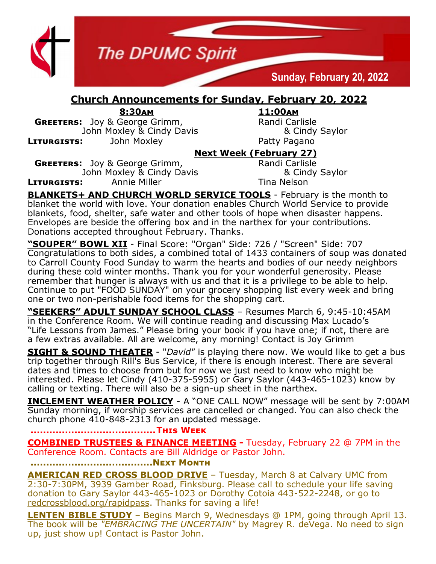

## **Church Announcements for Sunday, February 20, 2022**

**8:30am 11:00am**

**GREETERS:** Joy & George Grimm, Randi Carlisle John Moxley & Cindy Davis & Cindy Saylor **LITURGISTS:** John Moxley **Patty Pagano** 

## **Next Week (February 27)**

**GREETERS:** Joy & George Grimm, Randi Carlisle John Moxley & Cindy Davis **8 Cindy Saylor LITURGISTS:** Annie Miller **Nights Annie Annie Miller** Tina Nelson

**BLANKETS+ AND CHURCH WORLD SERVICE TOOLS** - February is the month to blanket the world with love. Your donation enables Church World Service to provide blankets, food, shelter, safe water and other tools of hope when disaster happens. Envelopes are beside the offering box and in the narthex for your contributions. Donations accepted throughout February. Thanks.

**"SOUPER" BOWL XII** - Final Score: "Organ" Side: 726 / "Screen" Side: 707 Congratulations to both sides, a combined total of 1433 containers of soup was donated to Carroll County Food Sunday to warm the hearts and bodies of our needy neighbors during these cold winter months. Thank you for your wonderful generosity. Please remember that hunger is always with us and that it is a privilege to be able to help. Continue to put "FOOD SUNDAY" on your grocery shopping list every week and bring one or two non-perishable food items for the shopping cart.

**"SEEKERS" ADULT SUNDAY SCHOOL CLASS** – Resumes March 6, 9:45-10:45AM in the Conference Room. We will continue reading and discussing Max Lucado's "Life Lessons from James." Please bring your book if you have one; if not, there are a few extras available. All are welcome, any morning! Contact is Joy Grimm

**SIGHT & SOUND THEATER** - "*David"* is playing there now. We would like to get a bus trip together through Rill's Bus Service, if there is enough interest. There are several dates and times to choose from but for now we just need to know who might be interested. Please let Cindy (410-375-5955) or Gary Saylor (443-465-1023) know by calling or texting. There will also be a sign-up sheet in the narthex.

**INCLEMENT WEATHER POLICY** - A "ONE CALL NOW" message will be sent by 7:00AM Sunday morning, if worship services are cancelled or changed. You can also check the church phone 410-848-2313 for an updated message.

## **........................................This Week**

**COMBINED TRUSTEES & FINANCE MEETING -** Tuesday, February 22 @ 7PM in the Conference Room. Contacts are Bill Aldridge or Pastor John.

**.......................................Next Month**

**AMERICAN RED CROSS BLOOD DRIVE** – Tuesday, March 8 at Calvary UMC from 2:30-7:30PM, 3939 Gamber Road, Finksburg. Please call to schedule your life saving donation to Gary Saylor 443-465-1023 or Dorothy Cotoia 443-522-2248, or go to redcrossblood.org/rapidpass. Thanks for saving a life!

**LENTEN BIBLE STUDY** – Begins March 9, Wednesdays @ 1PM, going through April 13. The book will be *"EMBRACING THE UNCERTAIN"* by Magrey R. deVega. No need to sign up, just show up! Contact is Pastor John.